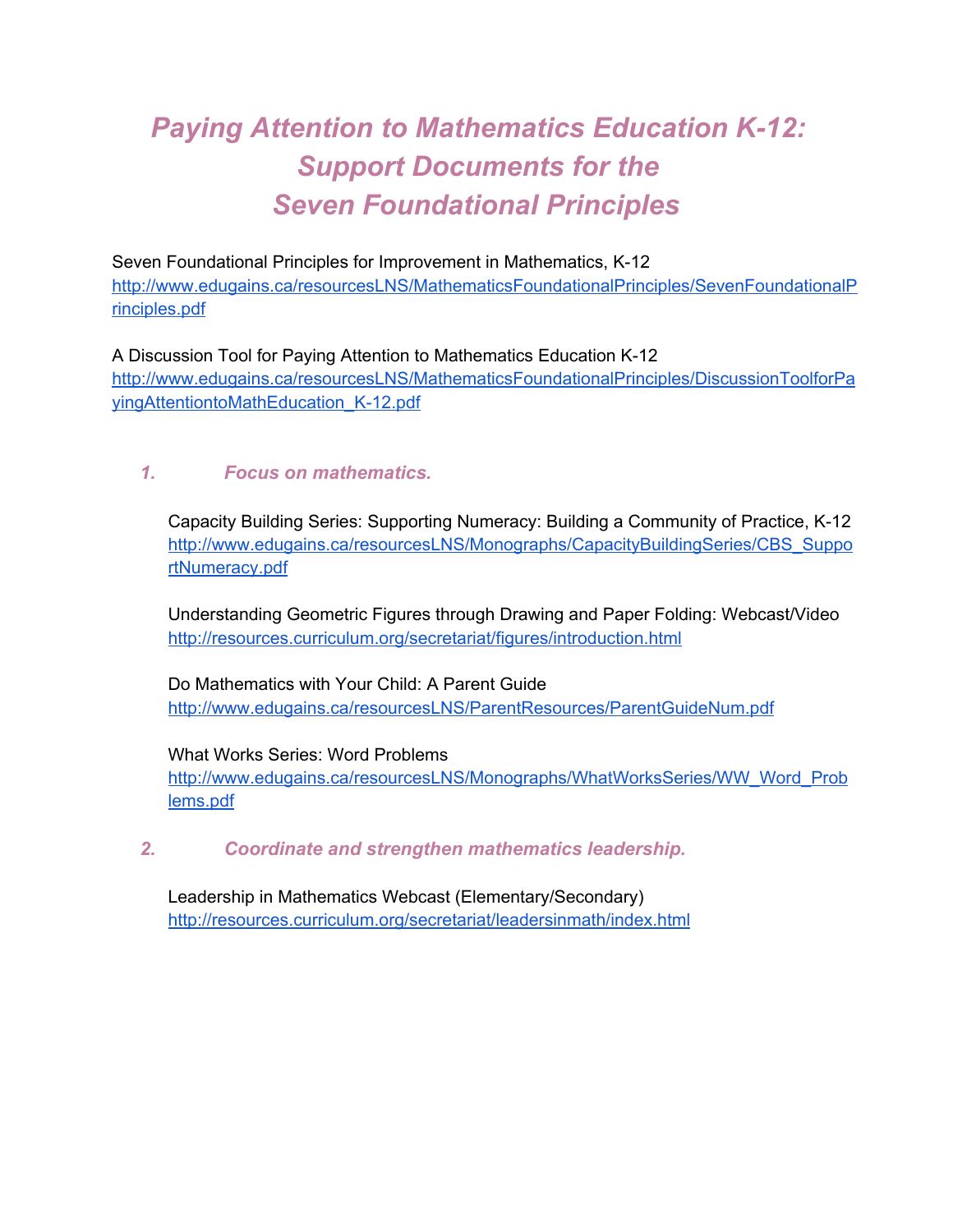# **Paying Attention to Mathematics Education K-12:** *Support Documents for the Seven Foundational Principles*

Seven Foundational Principles for Improvement in Mathematics, K-12 [http://www.edugains.ca/resourcesLNS/MathematicsFoundationalPrinciples/SevenFoundationalP](http://www.google.com/url?q=http%3A%2F%2Fwww.edugains.ca%2FresourcesLNS%2FMathematicsFoundationalPrinciples%2FSevenFoundationalPrinciples.pdf&sa=D&sntz=1&usg=AFQjCNFEjx5ahkxEVubg7esb1YnUGLdLhg) [rinciples.pdf](http://www.google.com/url?q=http%3A%2F%2Fwww.edugains.ca%2FresourcesLNS%2FMathematicsFoundationalPrinciples%2FSevenFoundationalPrinciples.pdf&sa=D&sntz=1&usg=AFQjCNFEjx5ahkxEVubg7esb1YnUGLdLhg)

A Discussion Tool for Paying Attention to Mathematics Education K-12 [http://www.edugains.ca/resourcesLNS/MathematicsFoundationalPrinciples/DiscussionToolforPa](http://www.google.com/url?q=http%3A%2F%2Fwww.edugains.ca%2FresourcesLNS%2FMathematicsFoundationalPrinciples%2FDiscussionToolforPayingAttentiontoMathEducation_K-12.pdf&sa=D&sntz=1&usg=AFQjCNGMxmV5hAnsI2R9cFCk5cQsQLOjQQ) [yingAttentiontoMathEducation\\_K12.pdf](http://www.google.com/url?q=http%3A%2F%2Fwww.edugains.ca%2FresourcesLNS%2FMathematicsFoundationalPrinciples%2FDiscussionToolforPayingAttentiontoMathEducation_K-12.pdf&sa=D&sntz=1&usg=AFQjCNGMxmV5hAnsI2R9cFCk5cQsQLOjQQ)

## *1. Focus on mathematics.*

Capacity Building Series: Supporting Numeracy: Building a Community of Practice, K12 [http://www.edugains.ca/resourcesLNS/Monographs/CapacityBuildingSeries/CBS\\_Suppo](http://www.google.com/url?q=http%3A%2F%2Fwww.edugains.ca%2FresourcesLNS%2FMonographs%2FCapacityBuildingSeries%2FCBS_SupportNumeracy.pdf&sa=D&sntz=1&usg=AFQjCNEJ5w_miIeAwNGsegQF-b9T0zL7JA) [rtNumeracy.pdf](http://www.google.com/url?q=http%3A%2F%2Fwww.edugains.ca%2FresourcesLNS%2FMonographs%2FCapacityBuildingSeries%2FCBS_SupportNumeracy.pdf&sa=D&sntz=1&usg=AFQjCNEJ5w_miIeAwNGsegQF-b9T0zL7JA)

Understanding Geometric Figures through Drawing and Paper Folding: Webcast/Video [http://resources.curriculum.org/secretariat/figures/introduction.html](http://www.google.com/url?q=http%3A%2F%2Fresources.curriculum.org%2Fsecretariat%2Ffigures%2Fintroduction.html&sa=D&sntz=1&usg=AFQjCNHbi8z93Mgf2pPAYopfqaDjCwuwsw)

Do Mathematics with Your Child: A Parent Guide [http://www.edugains.ca/resourcesLNS/ParentResources/ParentGuideNum.pdf](http://www.google.com/url?q=http%3A%2F%2Fwww.edugains.ca%2FresourcesLNS%2FParentResources%2FParentGuideNum.pdf&sa=D&sntz=1&usg=AFQjCNGfp4_t8KtoZnU4_zcSrVsegpKBTw)

What Works Series: Word Problems [http://www.edugains.ca/resourcesLNS/Monographs/WhatWorksSeries/WW\\_Word\\_Prob](http://www.google.com/url?q=http%3A%2F%2Fwww.edugains.ca%2FresourcesLNS%2FMonographs%2FWhatWorksSeries%2FWW_Word_Problems.pdf&sa=D&sntz=1&usg=AFQjCNEACdeVxbrf9K9nQW82VHYzM1X_mQ) [lems.pdf](http://www.google.com/url?q=http%3A%2F%2Fwww.edugains.ca%2FresourcesLNS%2FMonographs%2FWhatWorksSeries%2FWW_Word_Problems.pdf&sa=D&sntz=1&usg=AFQjCNEACdeVxbrf9K9nQW82VHYzM1X_mQ)

*2. Coordinate and strengthen mathematics leadership.*

Leadership in Mathematics Webcast (Elementary/Secondary) [http://resources.curriculum.org/secretariat/leadersinmath/index.html](http://www.google.com/url?q=http%3A%2F%2Fresources.curriculum.org%2Fsecretariat%2Fleadersinmath%2Findex.html&sa=D&sntz=1&usg=AFQjCNHqJdOyJZdDnRU_5_2FxX35q7Q-cg)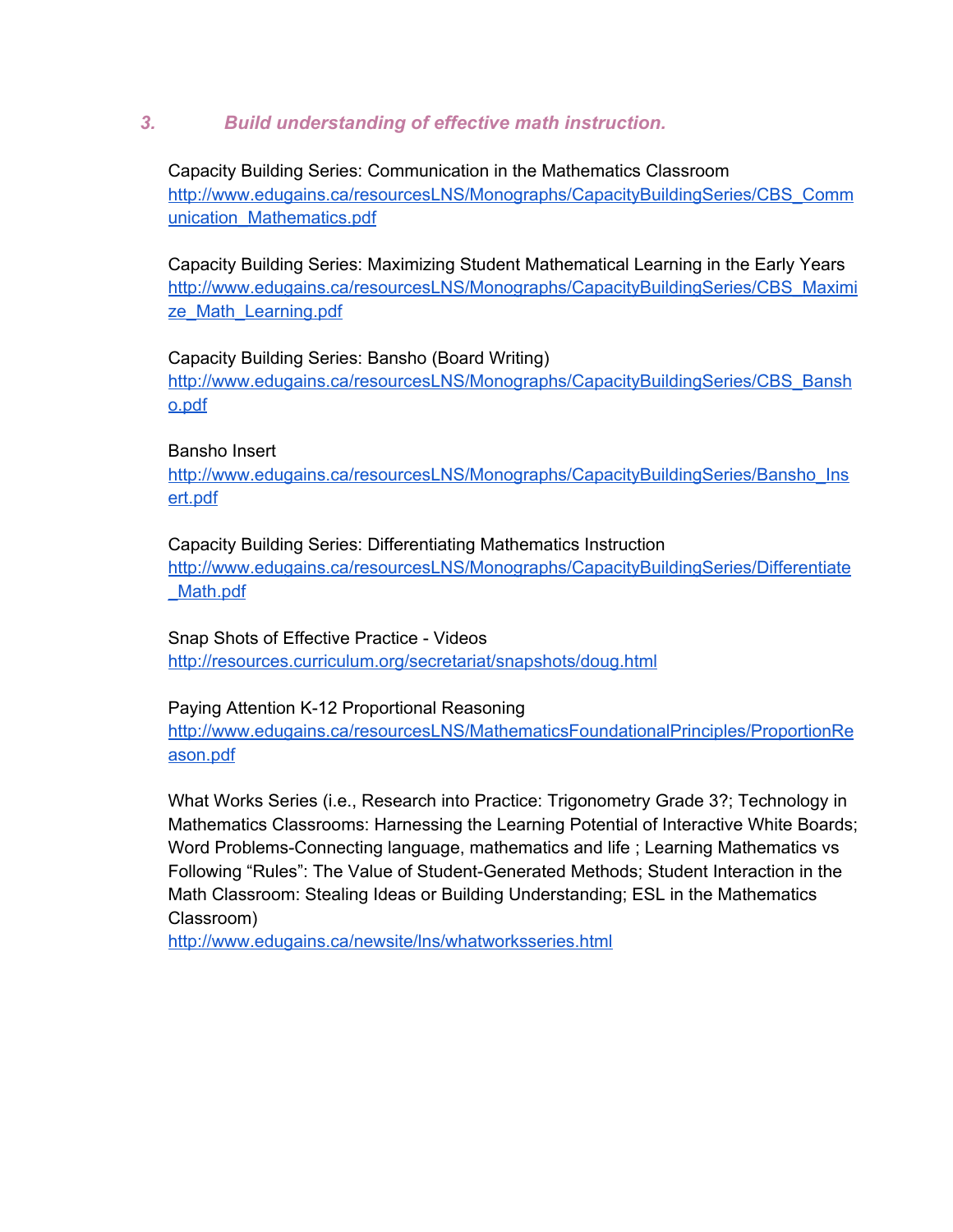## *3. Build understanding of effective math instruction.*

Capacity Building Series: Communication in the Mathematics Classroom [http://www.edugains.ca/resourcesLNS/Monographs/CapacityBuildingSeries/CBS\\_Comm](http://www.google.com/url?q=http%3A%2F%2Fwww.edugains.ca%2FresourcesLNS%2FMonographs%2FCapacityBuildingSeries%2FCBS_Communication_Mathematics.pdf&sa=D&sntz=1&usg=AFQjCNGSrlSnCGOcgTg4es3q3feweRNbCw) [unication\\_Mathematics.pdf](http://www.google.com/url?q=http%3A%2F%2Fwww.edugains.ca%2FresourcesLNS%2FMonographs%2FCapacityBuildingSeries%2FCBS_Communication_Mathematics.pdf&sa=D&sntz=1&usg=AFQjCNGSrlSnCGOcgTg4es3q3feweRNbCw)

Capacity Building Series: Maximizing Student Mathematical Learning in the Early Years [http://www.edugains.ca/resourcesLNS/Monographs/CapacityBuildingSeries/CBS\\_Maximi](http://www.google.com/url?q=http%3A%2F%2Fwww.edugains.ca%2FresourcesLNS%2FMonographs%2FCapacityBuildingSeries%2FCBS_Maximize_Math_Learning.pdf&sa=D&sntz=1&usg=AFQjCNHIL9rpgumaIkMwAh3zBUQSyx8gmg) [ze\\_Math\\_Learning.pdf](http://www.google.com/url?q=http%3A%2F%2Fwww.edugains.ca%2FresourcesLNS%2FMonographs%2FCapacityBuildingSeries%2FCBS_Maximize_Math_Learning.pdf&sa=D&sntz=1&usg=AFQjCNHIL9rpgumaIkMwAh3zBUQSyx8gmg)

#### Capacity Building Series: Bansho (Board Writing)

[http://www.edugains.ca/resourcesLNS/Monographs/CapacityBuildingSeries/CBS\\_Bansh](http://www.google.com/url?q=http%3A%2F%2Fwww.edugains.ca%2FresourcesLNS%2FMonographs%2FCapacityBuildingSeries%2FCBS_Bansho.pdf&sa=D&sntz=1&usg=AFQjCNHi1q9hrd9TTAx1BanC6HaRAJfRtA) [o.pdf](http://www.google.com/url?q=http%3A%2F%2Fwww.edugains.ca%2FresourcesLNS%2FMonographs%2FCapacityBuildingSeries%2FCBS_Bansho.pdf&sa=D&sntz=1&usg=AFQjCNHi1q9hrd9TTAx1BanC6HaRAJfRtA)

#### Bansho Insert

[http://www.edugains.ca/resourcesLNS/Monographs/CapacityBuildingSeries/Bansho\\_Ins](http://www.google.com/url?q=http%3A%2F%2Fwww.edugains.ca%2FresourcesLNS%2FMonographs%2FCapacityBuildingSeries%2FBansho_Insert.pdf&sa=D&sntz=1&usg=AFQjCNEBkrEuAaiTFDNCAngPTlaUSrVJzw) [ert.pdf](http://www.google.com/url?q=http%3A%2F%2Fwww.edugains.ca%2FresourcesLNS%2FMonographs%2FCapacityBuildingSeries%2FBansho_Insert.pdf&sa=D&sntz=1&usg=AFQjCNEBkrEuAaiTFDNCAngPTlaUSrVJzw)

Capacity Building Series: Differentiating Mathematics Instruction [http://www.edugains.ca/resourcesLNS/Monographs/CapacityBuildingSeries/Differentiate](http://www.google.com/url?q=http%3A%2F%2Fwww.edugains.ca%2FresourcesLNS%2FMonographs%2FCapacityBuildingSeries%2FDifferentiate_Math.pdf&sa=D&sntz=1&usg=AFQjCNHhCjq3AwIaMTjAe2EUgasyasiGiw) [\\_Math.pdf](http://www.google.com/url?q=http%3A%2F%2Fwww.edugains.ca%2FresourcesLNS%2FMonographs%2FCapacityBuildingSeries%2FDifferentiate_Math.pdf&sa=D&sntz=1&usg=AFQjCNHhCjq3AwIaMTjAe2EUgasyasiGiw)

Snap Shots of Effective Practice - Videos [http://resources.curriculum.org/secretariat/snapshots/doug.html](http://www.google.com/url?q=http%3A%2F%2Fresources.curriculum.org%2Fsecretariat%2Fsnapshots%2Fdoug.html&sa=D&sntz=1&usg=AFQjCNFl4kzFgtZ2tIVruo3PTbG-g_QDQg)

#### Paying Attention K-12 Proportional Reasoning

[http://www.edugains.ca/resourcesLNS/MathematicsFoundationalPrinciples/ProportionRe](http://www.google.com/url?q=http%3A%2F%2Fwww.edugains.ca%2FresourcesLNS%2FMathematicsFoundationalPrinciples%2FProportionReason.pdf&sa=D&sntz=1&usg=AFQjCNHzMURmp5Rg8eVNNYoegdoftWVN-A) [ason.pdf](http://www.google.com/url?q=http%3A%2F%2Fwww.edugains.ca%2FresourcesLNS%2FMathematicsFoundationalPrinciples%2FProportionReason.pdf&sa=D&sntz=1&usg=AFQjCNHzMURmp5Rg8eVNNYoegdoftWVN-A)

What Works Series (i.e., Research into Practice: Trigonometry Grade 3?; Technology in Mathematics Classrooms: Harnessing the Learning Potential of Interactive White Boards; Word Problems-Connecting language, mathematics and life; Learning Mathematics vs Following "Rules": The Value of Student-Generated Methods; Student Interaction in the Math Classroom: Stealing Ideas or Building Understanding; ESL in the Mathematics Classroom)

[http://www.edugains.ca/newsite/lns/whatworksseries.html](http://www.google.com/url?q=http%3A%2F%2Fwww.edugains.ca%2Fnewsite%2Flns%2Fwhatworksseries.html&sa=D&sntz=1&usg=AFQjCNFD2CIUpnVcZ0M0-0Bzya1osUVkHQ)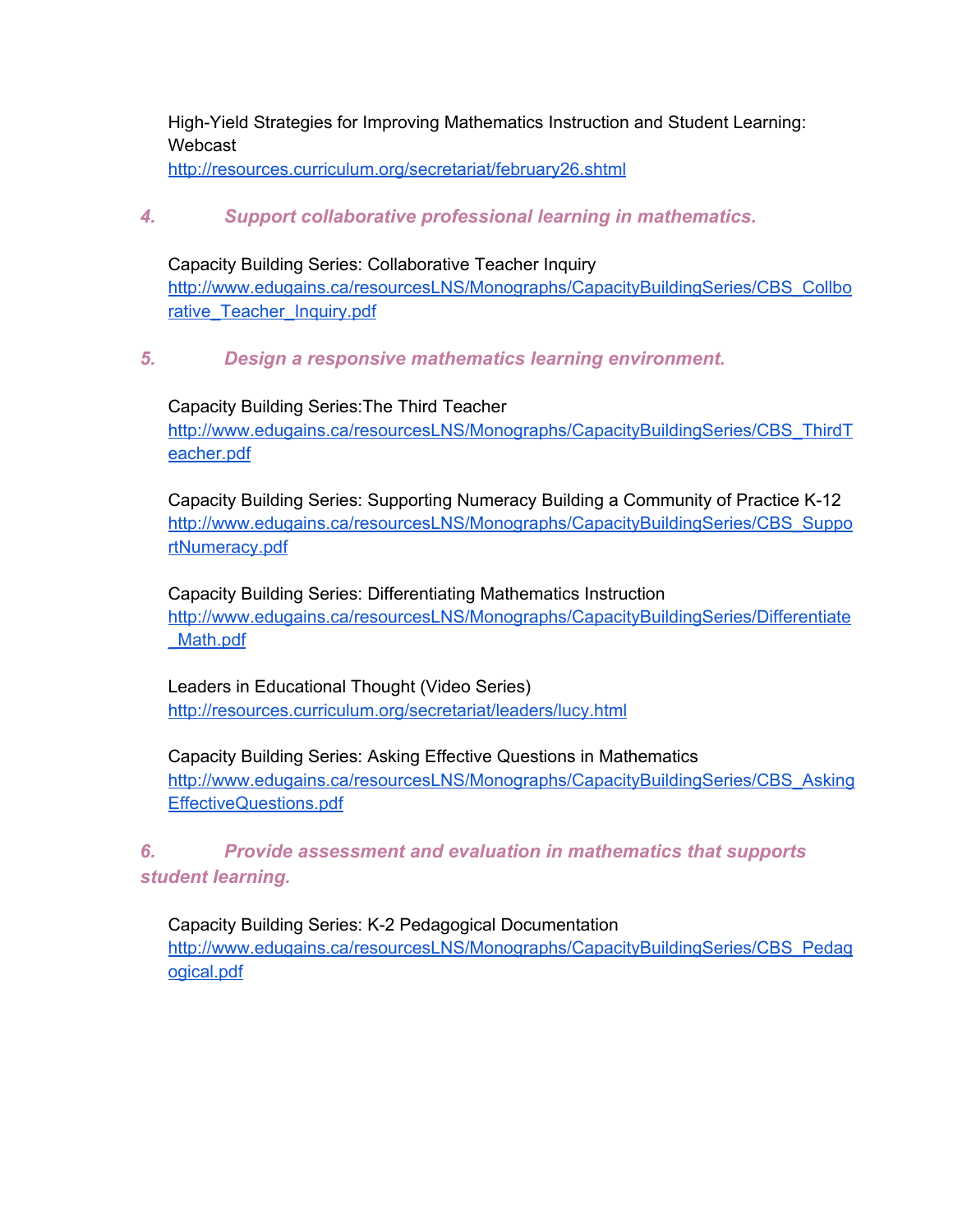High-Yield Strategies for Improving Mathematics Instruction and Student Learning: Webcast

[http://resources.curriculum.org/secretariat/february26.shtml](http://www.google.com/url?q=http%3A%2F%2Fresources.curriculum.org%2Fsecretariat%2Ffebruary26.shtml&sa=D&sntz=1&usg=AFQjCNH0B8vUgTuDGQu9f-m64U48EZEzXg)

## *4. Support collaborative professional learning in mathematics.*

Capacity Building Series: Collaborative Teacher Inquiry [http://www.edugains.ca/resourcesLNS/Monographs/CapacityBuildingSeries/CBS\\_Collbo](http://www.google.com/url?q=http%3A%2F%2Fwww.edugains.ca%2FresourcesLNS%2FMonographs%2FCapacityBuildingSeries%2FCBS_Collborative_Teacher_Inquiry.pdf&sa=D&sntz=1&usg=AFQjCNFQ2UnZqCVaNpitaKvegJawRb_Omw) [rative\\_Teacher\\_Inquiry.pdf](http://www.google.com/url?q=http%3A%2F%2Fwww.edugains.ca%2FresourcesLNS%2FMonographs%2FCapacityBuildingSeries%2FCBS_Collborative_Teacher_Inquiry.pdf&sa=D&sntz=1&usg=AFQjCNFQ2UnZqCVaNpitaKvegJawRb_Omw)

### *5. Design a responsive mathematics learning environment.*

Capacity Building Series:The Third Teacher

[http://www.edugains.ca/resourcesLNS/Monographs/CapacityBuildingSeries/CBS\\_ThirdT](http://www.google.com/url?q=http%3A%2F%2Fwww.edugains.ca%2FresourcesLNS%2FMonographs%2FCapacityBuildingSeries%2FCBS_ThirdTeacher.pdf&sa=D&sntz=1&usg=AFQjCNEupEbG6xn1eo0oabAhVTmiitCToQ) [eacher.pdf](http://www.google.com/url?q=http%3A%2F%2Fwww.edugains.ca%2FresourcesLNS%2FMonographs%2FCapacityBuildingSeries%2FCBS_ThirdTeacher.pdf&sa=D&sntz=1&usg=AFQjCNEupEbG6xn1eo0oabAhVTmiitCToQ)

Capacity Building Series: Supporting Numeracy Building a Community of Practice K-12 [http://www.edugains.ca/resourcesLNS/Monographs/CapacityBuildingSeries/CBS\\_Suppo](http://www.google.com/url?q=http%3A%2F%2Fwww.edugains.ca%2FresourcesLNS%2FMonographs%2FCapacityBuildingSeries%2FCBS_SupportNumeracy.pdf&sa=D&sntz=1&usg=AFQjCNEJ5w_miIeAwNGsegQF-b9T0zL7JA) [rtNumeracy.pdf](http://www.google.com/url?q=http%3A%2F%2Fwww.edugains.ca%2FresourcesLNS%2FMonographs%2FCapacityBuildingSeries%2FCBS_SupportNumeracy.pdf&sa=D&sntz=1&usg=AFQjCNEJ5w_miIeAwNGsegQF-b9T0zL7JA)

Capacity Building Series: Differentiating Mathematics Instruction [http://www.edugains.ca/resourcesLNS/Monographs/CapacityBuildingSeries/Differentiate](http://www.google.com/url?q=http%3A%2F%2Fwww.edugains.ca%2FresourcesLNS%2FMonographs%2FCapacityBuildingSeries%2FDifferentiate_Math.pdf&sa=D&sntz=1&usg=AFQjCNHhCjq3AwIaMTjAe2EUgasyasiGiw) [\\_Math.pdf](http://www.google.com/url?q=http%3A%2F%2Fwww.edugains.ca%2FresourcesLNS%2FMonographs%2FCapacityBuildingSeries%2FDifferentiate_Math.pdf&sa=D&sntz=1&usg=AFQjCNHhCjq3AwIaMTjAe2EUgasyasiGiw)

Leaders in Educational Thought (Video Series) [http://resources.curriculum.org/secretariat/leaders/lucy.html](http://www.google.com/url?q=http%3A%2F%2Fresources.curriculum.org%2Fsecretariat%2Fleaders%2Flucy.html&sa=D&sntz=1&usg=AFQjCNFhh_TQPVjjvcMTqOAU3ukRcZBUXw)

Capacity Building Series: Asking Effective Questions in Mathematics [http://www.edugains.ca/resourcesLNS/Monographs/CapacityBuildingSeries/CBS\\_Asking](http://www.google.com/url?q=http%3A%2F%2Fwww.edugains.ca%2FresourcesLNS%2FMonographs%2FCapacityBuildingSeries%2FCBS_AskingEffectiveQuestions.pdf&sa=D&sntz=1&usg=AFQjCNFe8PFARZUQQ-pYi6FBI_xaset4yg) [EffectiveQuestions.pdf](http://www.google.com/url?q=http%3A%2F%2Fwww.edugains.ca%2FresourcesLNS%2FMonographs%2FCapacityBuildingSeries%2FCBS_AskingEffectiveQuestions.pdf&sa=D&sntz=1&usg=AFQjCNFe8PFARZUQQ-pYi6FBI_xaset4yg)

## *6. Provide assessment and evaluation in mathematics that supports student learning.*

Capacity Building Series: K2 Pedagogical Documentation [http://www.edugains.ca/resourcesLNS/Monographs/CapacityBuildingSeries/CBS\\_Pedag](http://www.google.com/url?q=http%3A%2F%2Fwww.edugains.ca%2FresourcesLNS%2FMonographs%2FCapacityBuildingSeries%2FCBS_Pedagogical.pdf&sa=D&sntz=1&usg=AFQjCNEHiU-7AjET2ghM0BsKI8FXSQ64VQ) [ogical.pdf](http://www.google.com/url?q=http%3A%2F%2Fwww.edugains.ca%2FresourcesLNS%2FMonographs%2FCapacityBuildingSeries%2FCBS_Pedagogical.pdf&sa=D&sntz=1&usg=AFQjCNEHiU-7AjET2ghM0BsKI8FXSQ64VQ)